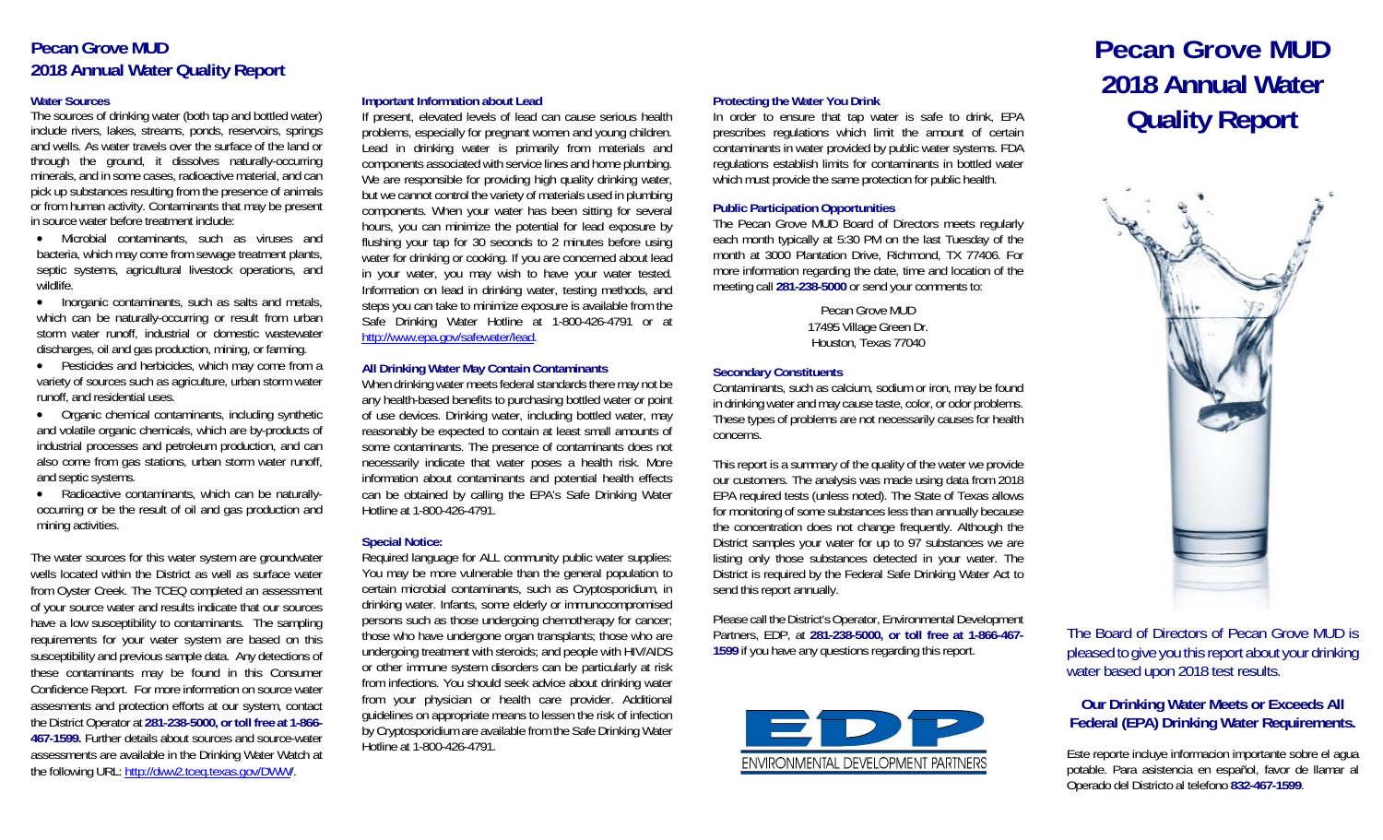# **Pecan Grove MUD 2018 Annual Water Quality Report**

# **Water Sources**

The sources of drinking water (both tap and bottled water) include rivers, lakes, streams, ponds, reservoirs, springs and wells. As water travels over the surface of the land or through the ground, it dissolves naturally-occurring minerals, and in some cases, radioactive material, and can pick up substances resulting from the presence of animals or from human activity. Contaminants that may be present in source water before treatment include:

 Microbial contaminants, such as viruses and bacteria, which may come from sewage treatment plants, septic systems, agricultural livestock operations, and wildlife.

• Inorganic contaminants, such as salts and metals, which can be naturally-occurring or result from urban storm water runoff, industrial or domestic wastewater discharges, oil and gas production, mining, or farming.

 Pesticides and herbicides, which may come from a variety of sources such as agriculture, urban storm water runoff, and residential uses.

 Organic chemical contaminants, including synthetic and volatile organic chemicals, which are by-products of industrial processes and petroleum production, and can also come from gas stations, urban storm water runoff, and septic systems.

• Radioactive contaminants, which can be naturallyoccurring or be the result of oil and gas production and mining activities.

The water sources for this water system are groundwater wells located within the District as well as surface water from Oyster Creek. The TCEQ completed an assessment of your source water and results indicate that our sources have a low susceptibility to contaminants. The sampling requirements for your water system are based on this susceptibility and previous sample data. Any detections of these contaminants may be found in this Consumer Confidence Report. For more information on source water assesments and protection efforts at our system, contact the District Operator at **281-238-5000, or toll free at 1-866- 467-1599.** Further details about sources and source-water assessments are available in the Drinking Water Watch at the following URL: http://dww2.tceq.texas.gov/DWW/.

# **Important Information about Lead**

If present, elevated levels of lead can cause serious health problems, especially for pregnant women and young children. Lead in drinking water is primarily from materials and components associated with service lines and home plumbing. We are responsible for providing high quality drinking water, but we cannot control the variety of materials used in plumbing components. When your water has been sitting for several hours, you can minimize the potential for lead exposure by flushing your tap for 30 seconds to 2 minutes before using water for drinking or cooking. If you are concerned about lead in your water, you may wish to have your water tested. Information on lead in drinking water, testing methods, and steps you can take to minimize exposure is available from the Safe Drinking Water Hotline at 1-800-426-4791 or at http://www.epa.gov/safewater/lead.

#### **All Drinking Water May Contain Contaminants**

When drinking water meets federal standards there may not be any health-based benefits to purchasing bottled water or point of use devices. Drinking water, including bottled water, may reasonably be expected to contain at least small amounts of some contaminants. The presence of contaminants does not necessarily indicate that water poses a health risk. More information about contaminants and potential health effects can be obtained by calling the EPA's Safe Drinking Water Hotline at 1-800-426-4791.

# **Special Notice:**

Required language for ALL community public water supplies: You may be more vulnerable than the general population to certain microbial contaminants, such as Cryptosporidium, in drinking water. Infants, some elderly or immunocompromised persons such as those undergoing chemotherapy for cancer; those who have undergone organ transplants; those who are undergoing treatment with steroids; and people with HIV/AIDS or other immune system disorders can be particularly at risk from infections. You should seek advice about drinking water from your physician or health care provider. Additional guidelines on appropriate means to lessen the risk of infection by Cryptosporidium are available from the Safe Drinking Water Hotline at 1-800-426-4791.

Protecting the Water You Drink<br>
In order to ensure that tap water is safe to drink, EPA<br>
prescribes regulations which limit the amount of certain contaminants in water provided by public water systems. FDA regulations establish limits for contaminants in bottled water which must provide the same protection for public health.

# **Public Participation Opportunities**

The Pecan Grove MUD Board of Directors meets regularly each month typically at 5:30 PM on the last Tuesday of the month at 3000 Plantation Drive, Richmond, TX 77406. For more information regarding the date, time and location of the meeting call **281-238-5000** or send your comments to:

> Pecan Grove MUD 17495 Village Green Dr. Houston, Texas 77040

#### **Secondary Constituents**

Contaminants, such as calcium, sodium or iron, may be found in drinking water and may cause taste, color, or odor problems. These types of problems are not necessarily causes for health concerns.

This report is a summary of the quality of the water we provide our customers. The analysis was made using data from 2018 EPA required tests (unless noted). The State of Texas allows for monitoring of some substances less than annually because the concentration does not change frequently. Although the District samples your water for up to 97 substances we are listing only those substances detected in your water. The District is required by the Federal Safe Drinking Water Act to send this report annually.

Please call the District's Operator, Environmental Development Partners, EDP, at **281-238-5000, or toll free at 1-866-467- 1599** if you have any questions regarding this report.



# **Pecan Grove MUD 2018 Annual Water**



The Board of Directors of Pecan Grove MUD is pleased to give you this report about your drinking water based upon 2018 test results.

# **Our Drinking Water Meets or Exceeds All Federal (EPA) Drinking Water Requirements.**

Este reporte incluye informacion importante sobre el agua potable. Para asistencia en español, favor de llamar al Operado del Districto al telefono **832-467-1599**.